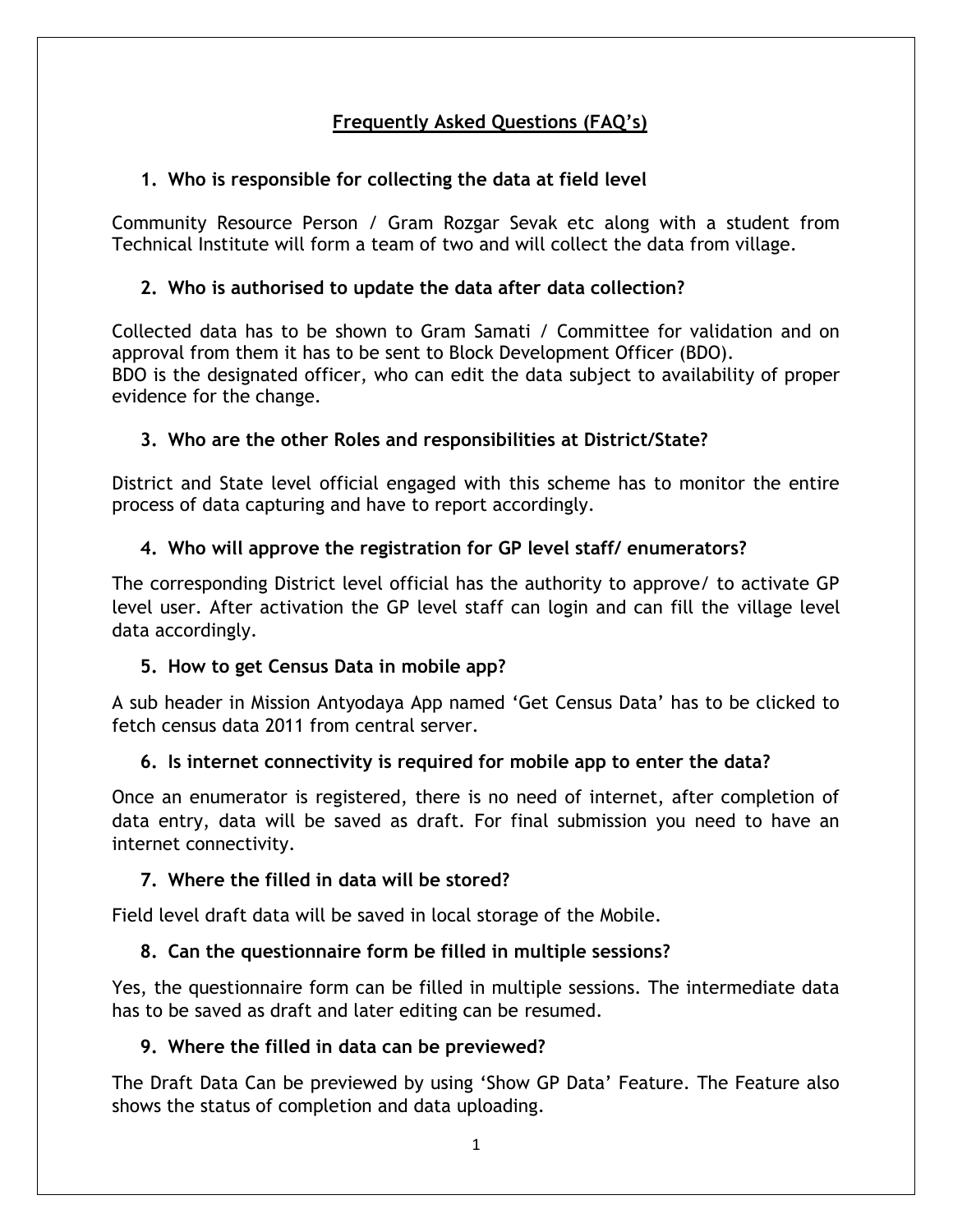# **Frequently Asked Questions (FAQ's)**

# **1. Who is responsible for collecting the data at field level**

Community Resource Person / Gram Rozgar Sevak etc along with a student from Technical Institute will form a team of two and will collect the data from village.

# **2. Who is authorised to update the data after data collection?**

Collected data has to be shown to Gram Samati / Committee for validation and on approval from them it has to be sent to Block Development Officer (BDO). BDO is the designated officer, who can edit the data subject to availability of proper evidence for the change.

#### **3. Who are the other Roles and responsibilities at District/State?**

District and State level official engaged with this scheme has to monitor the entire process of data capturing and have to report accordingly.

# **4. Who will approve the registration for GP level staff/ enumerators?**

The corresponding District level official has the authority to approve/ to activate GP level user. After activation the GP level staff can login and can fill the village level data accordingly.

# **5. How to get Census Data in mobile app?**

A sub header in Mission Antyodaya App named 'Get Census Data' has to be clicked to fetch census data 2011 from central server.

#### **6. Is internet connectivity is required for mobile app to enter the data?**

Once an enumerator is registered, there is no need of internet, after completion of data entry, data will be saved as draft. For final submission you need to have an internet connectivity.

#### **7. Where the filled in data will be stored?**

Field level draft data will be saved in local storage of the Mobile.

# **8. Can the questionnaire form be filled in multiple sessions?**

Yes, the questionnaire form can be filled in multiple sessions. The intermediate data has to be saved as draft and later editing can be resumed.

#### **9. Where the filled in data can be previewed?**

The Draft Data Can be previewed by using 'Show GP Data' Feature. The Feature also shows the status of completion and data uploading.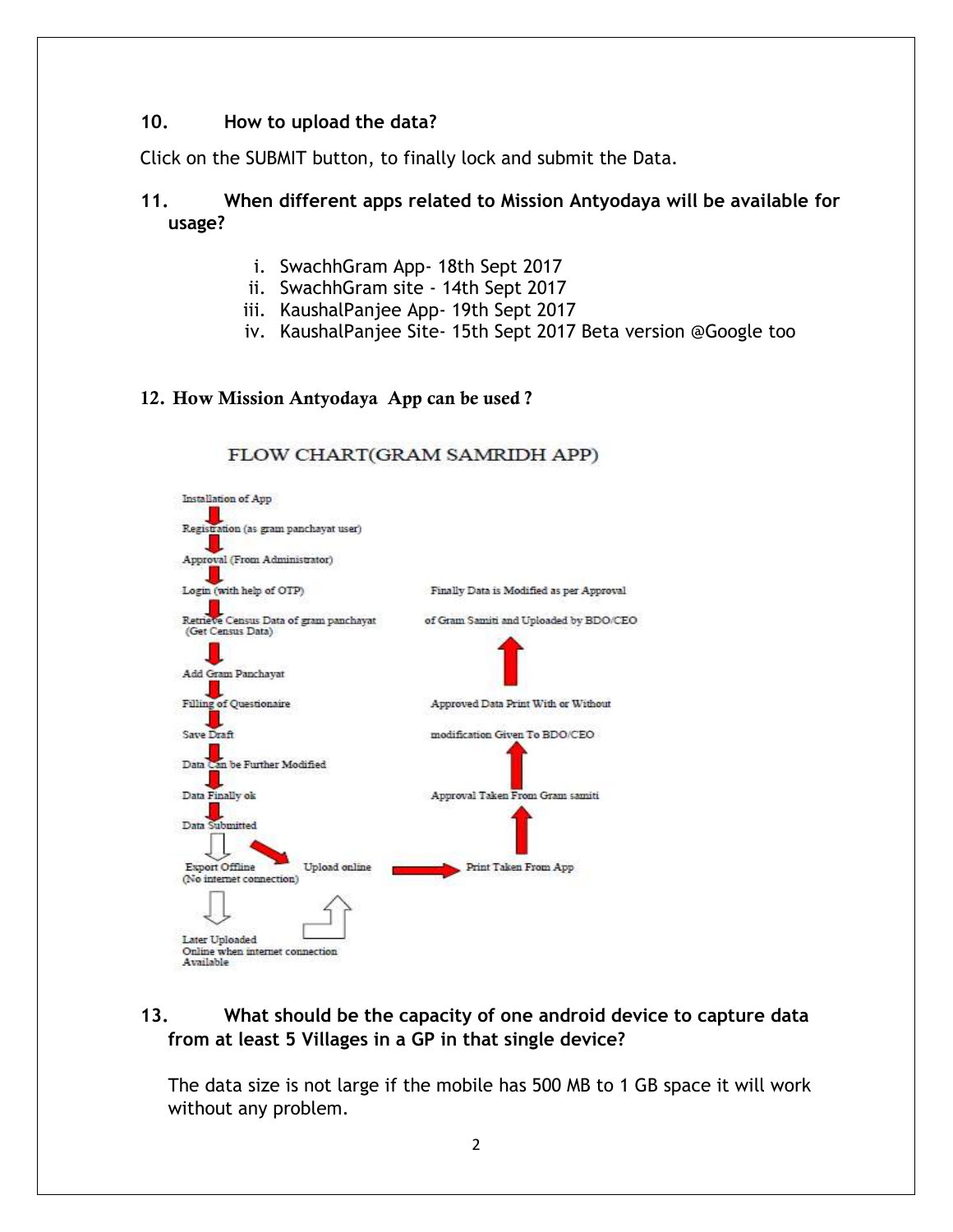#### **10. How to upload the data?**

Click on the SUBMIT button, to finally lock and submit the Data.

#### **11. When different apps related to Mission Antyodaya will be available for usage?**

- i. SwachhGram App- 18th Sept 2017
- ii. SwachhGram site 14th Sept 2017
- iii. KaushalPanjee App- 19th Sept 2017

FLOW CHART(GRAM SAMRIDH APP)

iv. KaushalPanjee Site- 15th Sept 2017 Beta version @Google too

#### **12. How Mission Antyodaya App can be used ?**

#### Installation of App Registration (as gram panchayat user) J. Approval (From Administrator) Ш Login (with help of OTP) Finally Data is Modified as per Approval Retrieve Census Data of gram panchayat of Gram Samiti and Uploaded by BDO/CEO (Get Census Data) Add Gram Panchayat Filling of Questionaire Approved Data Print With or Without ш Save Draft modification Given To BDO/CEO Data Can be Further Modified Data Finally ok Approval Taken From Gram samiti Data Submitted Export Offline Upload online Print Taken From App (No internet connection) Later Uploaded Online when internet connection Available

#### **13. What should be the capacity of one android device to capture data from at least 5 Villages in a GP in that single device?**

The data size is not large if the mobile has 500 MB to 1 GB space it will work without any problem.